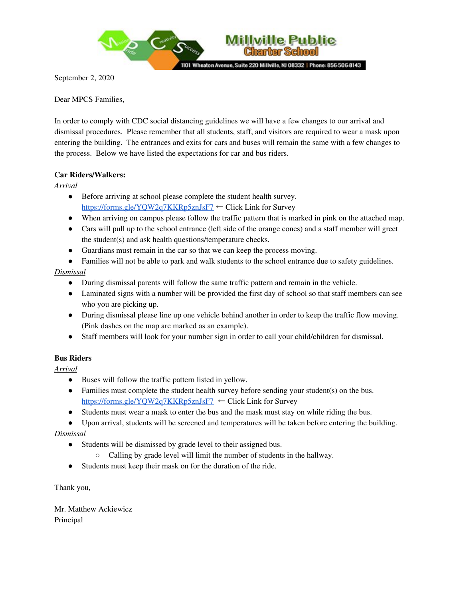

September 2, 2020

Dear MPCS Families,

In order to comply with CDC social distancing guidelines we will have a few changes to our arrival and dismissal procedures. Please remember that all students, staff, and visitors are required to wear a mask upon entering the building. The entrances and exits for cars and buses will remain the same with a few changes to the process. Below we have listed the expectations for car and bus riders.

**Charter School** 

## **Car Riders/Walkers:**

*Arrival*

- Before arriving at school please complete the student health survey.
- <https://forms.gle/YQW2q7KKRp5znJsF7> ← Click Link for Survey
- When arriving on campus please follow the traffic pattern that is marked in pink on the attached map.
- Cars will pull up to the school entrance (left side of the orange cones) and a staff member will greet the student(s) and ask health questions/temperature checks.
- Guardians must remain in the car so that we can keep the process moving.
- Families will not be able to park and walk students to the school entrance due to safety guidelines.

## *Dismissal*

- During dismissal parents will follow the same traffic pattern and remain in the vehicle.
- Laminated signs with a number will be provided the first day of school so that staff members can see who you are picking up.
- During dismissal please line up one vehicle behind another in order to keep the traffic flow moving. (Pink dashes on the map are marked as an example).
- Staff members will look for your number sign in order to call your child/children for dismissal.

## **Bus Riders**

*Arrival*

- Buses will follow the traffic pattern listed in yellow.
- Families must complete the student health survey before sending your student(s) on the bus. <https://forms.gle/YQW2q7KKRp5znJsF7> ← Click Link for Survey
- Students must wear a mask to enter the bus and the mask must stay on while riding the bus.
- Upon arrival, students will be screened and temperatures will be taken before entering the building.

## *Dismissal*

- Students will be dismissed by grade level to their assigned bus.
	- Calling by grade level will limit the number of students in the hallway.
- Students must keep their mask on for the duration of the ride.

Thank you,

Mr. Matthew Ackiewicz Principal